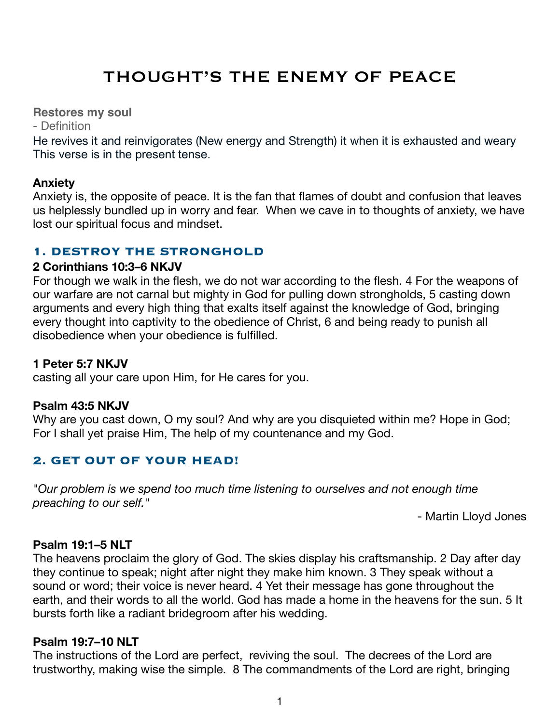# THOUGHT'S THE ENEMY OF PEACE

**Restores my soul**

- Definition

He revives it and reinvigorates (New energy and Strength) it when it is exhausted and weary This verse is in the present tense.

#### **Anxiety**

Anxiety is, the opposite of peace. It is the fan that flames of doubt and confusion that leaves us helplessly bundled up in worry and fear. When we cave in to thoughts of anxiety, we have lost our spiritual focus and mindset.

# **1. DESTROY THE STRONGHOLD**

#### **2 Corinthians 10:3–6 NKJV**

For though we walk in the flesh, we do not war according to the flesh. 4 For the weapons of our warfare are not carnal but mighty in God for pulling down strongholds, 5 casting down arguments and every high thing that exalts itself against the knowledge of God, bringing every thought into captivity to the obedience of Christ, 6 and being ready to punish all disobedience when your obedience is fulfilled.

#### **1 Peter 5:7 NKJV**

casting all your care upon Him, for He cares for you.

#### **Psalm 43:5 NKJV**

Why are you cast down, O my soul? And why are you disquieted within me? Hope in God; For I shall yet praise Him, The help of my countenance and my God.

# **2. GET OUT OF YOUR HEAD!**

*"Our problem is we spend too much time listening to ourselves and not enough time preaching to our self."* 

- Martin Lloyd Jones

# **Psalm 19:1–5 NLT**

The heavens proclaim the glory of God. The skies display his craftsmanship. 2 Day after day they continue to speak; night after night they make him known. 3 They speak without a sound or word; their voice is never heard. 4 Yet their message has gone throughout the earth, and their words to all the world. God has made a home in the heavens for the sun. 5 It bursts forth like a radiant bridegroom after his wedding.

#### **Psalm 19:7–10 NLT**

The instructions of the Lord are perfect, reviving the soul. The decrees of the Lord are trustworthy, making wise the simple. 8 The commandments of the Lord are right, bringing